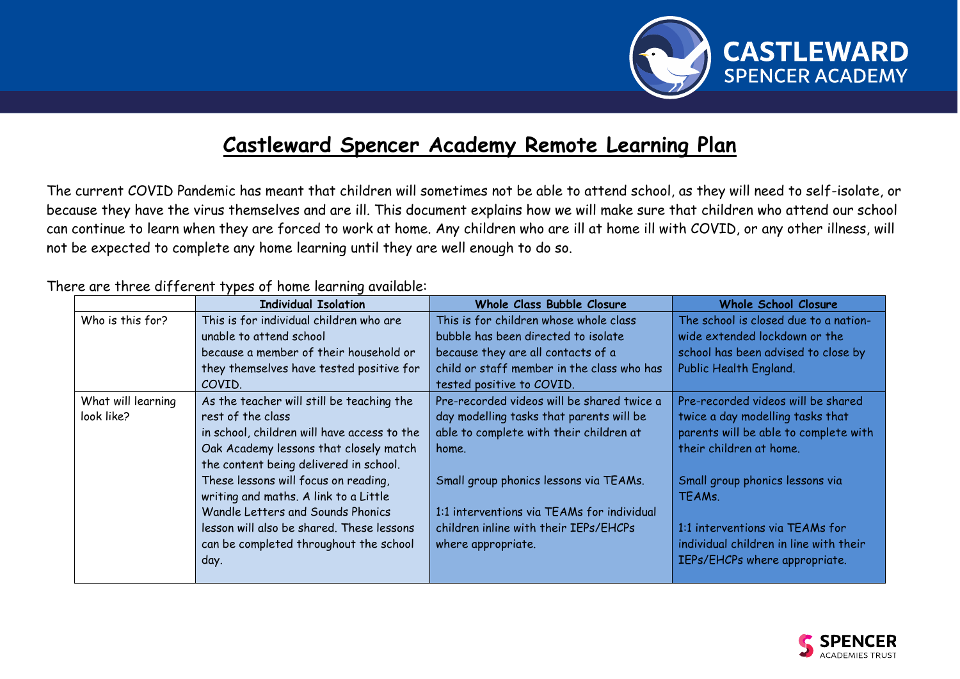

## **Castleward Spencer Academy Remote Learning Plan**

The current COVID Pandemic has meant that children will sometimes not be able to attend school, as they will need to self-isolate, or because they have the virus themselves and are ill. This document explains how we will make sure that children who attend our school can continue to learn when they are forced to work at home. Any children who are ill at home ill with COVID, or any other illness, will not be expected to complete any home learning until they are well enough to do so.

## There are three different types of home learning available:

|                    | <b>Individual Isolation</b>                 | Whole Class Bubble Closure                 | <b>Whole School Closure</b>            |
|--------------------|---------------------------------------------|--------------------------------------------|----------------------------------------|
| Who is this for?   | This is for individual children who are     | This is for children whose whole class     | The school is closed due to a nation-  |
|                    | unable to attend school                     | bubble has been directed to isolate        | wide extended lockdown or the          |
|                    | because a member of their household or      | because they are all contacts of a         | school has been advised to close by    |
|                    | they themselves have tested positive for    | child or staff member in the class who has | Public Health England.                 |
|                    | COVID.                                      | tested positive to COVID.                  |                                        |
| What will learning | As the teacher will still be teaching the   | Pre-recorded videos will be shared twice a | Pre-recorded videos will be shared     |
| look like?         | rest of the class                           | day modelling tasks that parents will be   | twice a day modelling tasks that       |
|                    | in school, children will have access to the | able to complete with their children at    | parents will be able to complete with  |
|                    | Oak Academy lessons that closely match      | home.                                      | their children at home.                |
|                    | the content being delivered in school.      |                                            |                                        |
|                    | These lessons will focus on reading,        | Small group phonics lessons via TEAMs.     | Small group phonics lessons via        |
|                    | writing and maths. A link to a Little       |                                            | TEAMs.                                 |
|                    | Wandle Letters and Sounds Phonics           | 1:1 interventions via TEAMs for individual |                                        |
|                    | lesson will also be shared. These lessons   | children inline with their IEPs/EHCPs      | 1:1 interventions via TEAMs for        |
|                    | can be completed throughout the school      | where appropriate.                         | individual children in line with their |
|                    | day.                                        |                                            | IEPs/EHCPs where appropriate.          |
|                    |                                             |                                            |                                        |

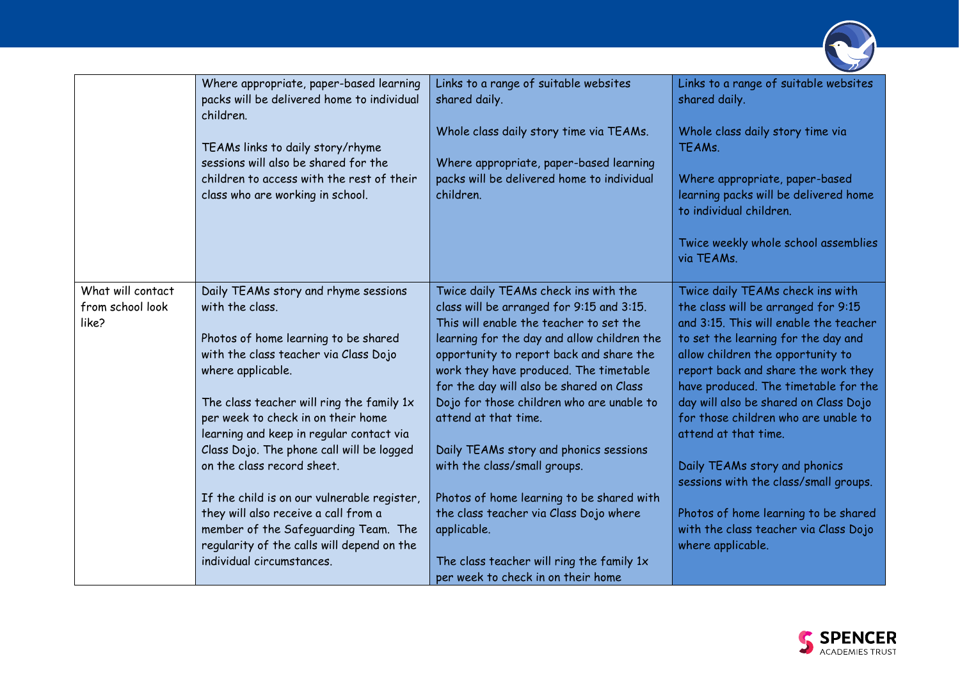